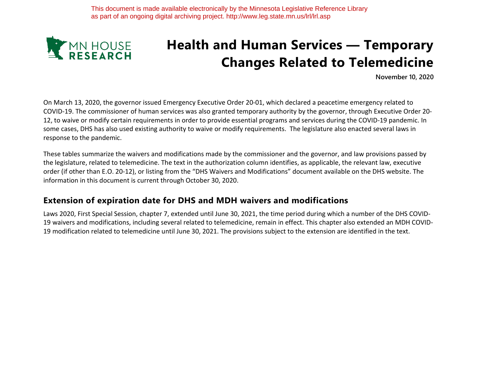

# **Health and Human Services — Temporary Changes Related to Telemedicine**

**November 10, 2020**

On March 13, 2020, the governor issued Emergency Executive Order 20-01, which declared a peacetime emergency related to COVID-19. The commissioner of human services was also granted temporary authority by the governor, through Executive Order 20- 12, to waive or modify certain requirements in order to provide essential programs and services during the COVID-19 pandemic. In some cases, DHS has also used existing authority to waive or modify requirements. The legislature also enacted several laws in response to the pandemic.

These tables summarize the waivers and modifications made by the commissioner and the governor, and law provisions passed by the legislature, related to telemedicine. The text in the authorization column identifies, as applicable, the relevant law, executive order (if other than E.O. 20-12), or listing from the "DHS Waivers and Modifications" document available on the DHS website. The information in this document is current through October 30, 2020.

#### **Extension of expiration date for DHS and MDH waivers and modifications**

Laws 2020, First Special Session, chapter 7, extended until June 30, 2021, the time period during which a number of the DHS COVID-19 waivers and modifications, including several related to telemedicine, remain in effect. This chapter also extended an MDH COVID-19 modification related to telemedicine until June 30, 2021. The provisions subject to the extension are identified in the text.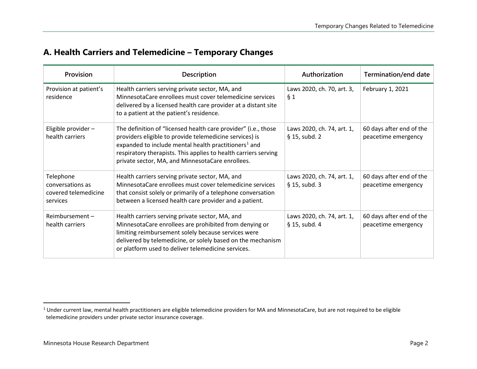### **A. Health Carriers and Telemedicine – Temporary Changes**

| Provision                                                         | <b>Description</b>                                                                                                                                                                                                                                                                                                   | Authorization                                 | Termination/end date                            |
|-------------------------------------------------------------------|----------------------------------------------------------------------------------------------------------------------------------------------------------------------------------------------------------------------------------------------------------------------------------------------------------------------|-----------------------------------------------|-------------------------------------------------|
| Provision at patient's<br>residence                               | Health carriers serving private sector, MA, and<br>MinnesotaCare enrollees must cover telemedicine services<br>delivered by a licensed health care provider at a distant site<br>to a patient at the patient's residence.                                                                                            | Laws 2020, ch. 70, art. 3,<br>§ 1             | February 1, 2021                                |
| Eligible provider -<br>health carriers                            | The definition of "licensed health care provider" (i.e., those<br>providers eligible to provide telemedicine services) is<br>expanded to include mental health practitioners <sup>1</sup> and<br>respiratory therapists. This applies to health carriers serving<br>private sector, MA, and MinnesotaCare enrollees. | Laws 2020, ch. 74, art. 1,<br>§ 15, subd. 2   | 60 days after end of the<br>peacetime emergency |
| Telephone<br>conversations as<br>covered telemedicine<br>services | Health carriers serving private sector, MA, and<br>Minnesota Care enrollees must cover telemedicine services<br>that consist solely or primarily of a telephone conversation<br>between a licensed health care provider and a patient.                                                                               | Laws 2020, ch. 74, art. 1,<br>§ 15, subd. 3   | 60 days after end of the<br>peacetime emergency |
| Reimbursement-<br>health carriers                                 | Health carriers serving private sector, MA, and<br>MinnesotaCare enrollees are prohibited from denying or<br>limiting reimbursement solely because services were<br>delivered by telemedicine, or solely based on the mechanism<br>or platform used to deliver telemedicine services.                                | Laws 2020, ch. 74, art. 1,<br>$§$ 15, subd. 4 | 60 days after end of the<br>peacetime emergency |

 $\overline{a}$ 

<sup>&</sup>lt;sup>1</sup> Under current law, mental health practitioners are eligible telemedicine providers for MA and MinnesotaCare, but are not required to be eligible telemedicine providers under private sector insurance coverage.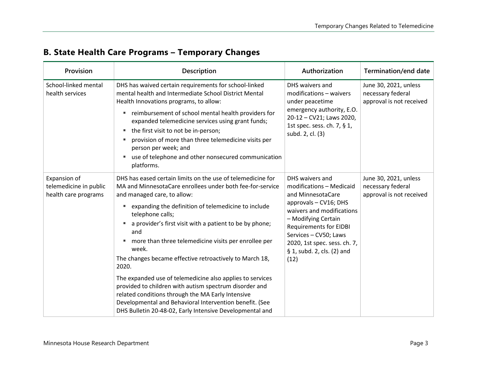| Provision                                                      | Description                                                                                                                                                                                                                                                                                                                                                                                                                                                                                                                                                                                                                                                                                                                                                 | Authorization                                                                                                                                                                                                                                                                 | <b>Termination/end date</b>                                            |
|----------------------------------------------------------------|-------------------------------------------------------------------------------------------------------------------------------------------------------------------------------------------------------------------------------------------------------------------------------------------------------------------------------------------------------------------------------------------------------------------------------------------------------------------------------------------------------------------------------------------------------------------------------------------------------------------------------------------------------------------------------------------------------------------------------------------------------------|-------------------------------------------------------------------------------------------------------------------------------------------------------------------------------------------------------------------------------------------------------------------------------|------------------------------------------------------------------------|
| School-linked mental<br>health services                        | DHS has waived certain requirements for school-linked<br>mental health and Intermediate School District Mental<br>Health Innovations programs, to allow:<br>reimbursement of school mental health providers for<br>٠<br>expanded telemedicine services using grant funds;<br>the first visit to not be in-person;<br>ш<br>provision of more than three telemedicine visits per<br>в<br>person per week; and<br>use of telephone and other nonsecured communication<br>п<br>platforms.                                                                                                                                                                                                                                                                       | DHS waivers and<br>modifications - waivers<br>under peacetime<br>emergency authority, E.O.<br>20-12 - CV21; Laws 2020,<br>1st spec. sess. ch. 7, § 1,<br>subd. 2, cl. (3)                                                                                                     | June 30, 2021, unless<br>necessary federal<br>approval is not received |
| Expansion of<br>telemedicine in public<br>health care programs | DHS has eased certain limits on the use of telemedicine for<br>MA and MinnesotaCare enrollees under both fee-for-service<br>and managed care, to allow:<br>expanding the definition of telemedicine to include<br>Е<br>telephone calls;<br>a provider's first visit with a patient to be by phone;<br>٠<br>and<br>more than three telemedicine visits per enrollee per<br>в<br>week.<br>The changes became effective retroactively to March 18,<br>2020.<br>The expanded use of telemedicine also applies to services<br>provided to children with autism spectrum disorder and<br>related conditions through the MA Early Intensive<br>Developmental and Behavioral Intervention benefit. (See<br>DHS Bulletin 20-48-02, Early Intensive Developmental and | DHS waivers and<br>modifications - Medicaid<br>and MinnesotaCare<br>approvals - CV16; DHS<br>waivers and modifications<br>- Modifying Certain<br><b>Requirements for EIDBI</b><br>Services - CV50; Laws<br>2020, 1st spec. sess. ch. 7,<br>§ 1, subd. 2, cls. (2) and<br>(12) | June 30, 2021, unless<br>necessary federal<br>approval is not received |

# **B. State Health Care Programs – Temporary Changes**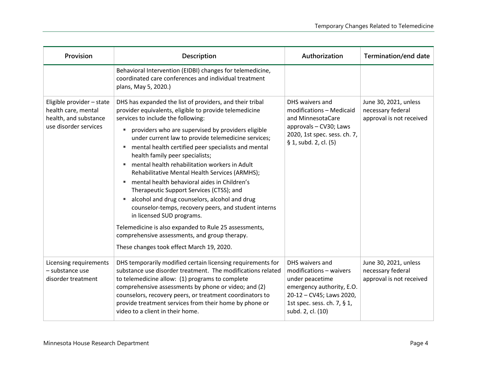| Provision                                                                                          | Description                                                                                                                                                                                                                                                                                                                                                                                                                                                                                                                                                                                                                                                                                                                                                                                                                                                           | Authorization                                                                                                                                                              | Termination/end date                                                   |
|----------------------------------------------------------------------------------------------------|-----------------------------------------------------------------------------------------------------------------------------------------------------------------------------------------------------------------------------------------------------------------------------------------------------------------------------------------------------------------------------------------------------------------------------------------------------------------------------------------------------------------------------------------------------------------------------------------------------------------------------------------------------------------------------------------------------------------------------------------------------------------------------------------------------------------------------------------------------------------------|----------------------------------------------------------------------------------------------------------------------------------------------------------------------------|------------------------------------------------------------------------|
|                                                                                                    | Behavioral Intervention (EIDBI) changes for telemedicine,<br>coordinated care conferences and individual treatment<br>plans, May 5, 2020.)                                                                                                                                                                                                                                                                                                                                                                                                                                                                                                                                                                                                                                                                                                                            |                                                                                                                                                                            |                                                                        |
| Eligible provider - state<br>health care, mental<br>health, and substance<br>use disorder services | DHS has expanded the list of providers, and their tribal<br>provider equivalents, eligible to provide telemedicine<br>services to include the following:<br>providers who are supervised by providers eligible<br>٠<br>under current law to provide telemedicine services;<br>mental health certified peer specialists and mental<br>ш<br>health family peer specialists;<br>mental health rehabilitation workers in Adult<br>Rehabilitative Mental Health Services (ARMHS);<br>mental health behavioral aides in Children's<br>Therapeutic Support Services (CTSS); and<br>alcohol and drug counselors, alcohol and drug<br>counselor-temps, recovery peers, and student interns<br>in licensed SUD programs.<br>Telemedicine is also expanded to Rule 25 assessments,<br>comprehensive assessments, and group therapy.<br>These changes took effect March 19, 2020. | DHS waivers and<br>modifications - Medicaid<br>and MinnesotaCare<br>approvals - CV30; Laws<br>2020, 1st spec. sess. ch. 7,<br>§ 1, subd. 2, cl. (5)                        | June 30, 2021, unless<br>necessary federal<br>approval is not received |
| Licensing requirements<br>- substance use<br>disorder treatment                                    | DHS temporarily modified certain licensing requirements for<br>substance use disorder treatment. The modifications related<br>to telemedicine allow: (1) programs to complete<br>comprehensive assessments by phone or video; and (2)<br>counselors, recovery peers, or treatment coordinators to<br>provide treatment services from their home by phone or<br>video to a client in their home.                                                                                                                                                                                                                                                                                                                                                                                                                                                                       | DHS waivers and<br>modifications - waivers<br>under peacetime<br>emergency authority, E.O.<br>20-12 - CV45; Laws 2020,<br>1st spec. sess. ch. 7, § 1,<br>subd. 2, cl. (10) | June 30, 2021, unless<br>necessary federal<br>approval is not received |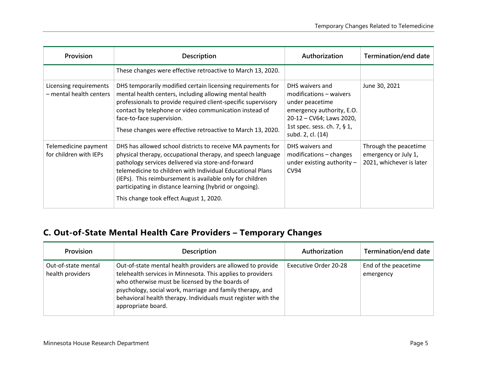| Provision                                         | <b>Description</b>                                                                                                                                                                                                                                                                                                                                                                                                | Authorization                                                                                                                                                              | Termination/end date                                                      |
|---------------------------------------------------|-------------------------------------------------------------------------------------------------------------------------------------------------------------------------------------------------------------------------------------------------------------------------------------------------------------------------------------------------------------------------------------------------------------------|----------------------------------------------------------------------------------------------------------------------------------------------------------------------------|---------------------------------------------------------------------------|
|                                                   | These changes were effective retroactive to March 13, 2020.                                                                                                                                                                                                                                                                                                                                                       |                                                                                                                                                                            |                                                                           |
| Licensing requirements<br>- mental health centers | DHS temporarily modified certain licensing requirements for<br>mental health centers, including allowing mental health<br>professionals to provide required client-specific supervisory<br>contact by telephone or video communication instead of<br>face-to-face supervision.<br>These changes were effective retroactive to March 13, 2020.                                                                     | DHS waivers and<br>modifications - waivers<br>under peacetime<br>emergency authority, E.O.<br>20-12 - CV64; Laws 2020,<br>1st spec. sess. ch. 7, § 1,<br>subd. 2, cl. (14) | June 30, 2021                                                             |
| Telemedicine payment<br>for children with IEPs    | DHS has allowed school districts to receive MA payments for<br>physical therapy, occupational therapy, and speech language<br>pathology services delivered via store-and-forward<br>telemedicine to children with Individual Educational Plans<br>(IEPs). This reimbursement is available only for children<br>participating in distance learning (hybrid or ongoing).<br>This change took effect August 1, 2020. | DHS waivers and<br>modifications - changes<br>under existing authority $-$<br><b>CV94</b>                                                                                  | Through the peacetime<br>emergency or July 1,<br>2021, whichever is later |

# **C. Out-of-State Mental Health Care Providers – Temporary Changes**

| <b>Provision</b>                        | <b>Description</b>                                                                                                                                                                                                                                                                                                                | Authorization         | Termination/end date              |
|-----------------------------------------|-----------------------------------------------------------------------------------------------------------------------------------------------------------------------------------------------------------------------------------------------------------------------------------------------------------------------------------|-----------------------|-----------------------------------|
| Out-of-state mental<br>health providers | Out-of-state mental health providers are allowed to provide<br>telehealth services in Minnesota. This applies to providers<br>who otherwise must be licensed by the boards of<br>psychology, social work, marriage and family therapy, and<br>behavioral health therapy. Individuals must register with the<br>appropriate board. | Executive Order 20-28 | End of the peacetime<br>emergency |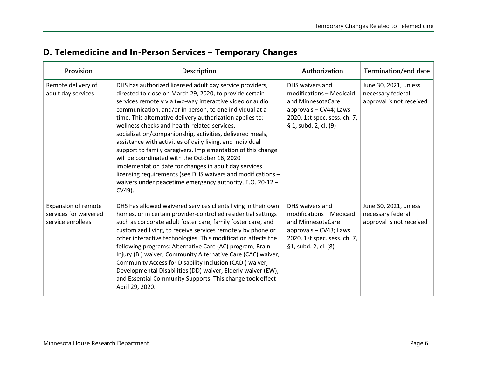| D. Telemedicine and In-Person Services - Temporary Changes |
|------------------------------------------------------------|
|------------------------------------------------------------|

| Provision                                                                | <b>Description</b>                                                                                                                                                                                                                                                                                                                                                                                                                                                                                                                                                                                                                                                                                                                                                                                | Authorization                                                                                                                                       | Termination/end date                                                   |
|--------------------------------------------------------------------------|---------------------------------------------------------------------------------------------------------------------------------------------------------------------------------------------------------------------------------------------------------------------------------------------------------------------------------------------------------------------------------------------------------------------------------------------------------------------------------------------------------------------------------------------------------------------------------------------------------------------------------------------------------------------------------------------------------------------------------------------------------------------------------------------------|-----------------------------------------------------------------------------------------------------------------------------------------------------|------------------------------------------------------------------------|
| Remote delivery of<br>adult day services                                 | DHS has authorized licensed adult day service providers,<br>directed to close on March 29, 2020, to provide certain<br>services remotely via two-way interactive video or audio<br>communication, and/or in person, to one individual at a<br>time. This alternative delivery authorization applies to:<br>wellness checks and health-related services,<br>socialization/companionship, activities, delivered meals,<br>assistance with activities of daily living, and individual<br>support to family caregivers. Implementation of this change<br>will be coordinated with the October 16, 2020<br>implementation date for changes in adult day services<br>licensing requirements (see DHS waivers and modifications -<br>waivers under peacetime emergency authority, E.O. 20-12 -<br>CV49). | DHS waivers and<br>modifications - Medicaid<br>and MinnesotaCare<br>approvals - CV44; Laws<br>2020, 1st spec. sess. ch. 7,<br>§ 1, subd. 2, cl. (9) | June 30, 2021, unless<br>necessary federal<br>approval is not received |
| <b>Expansion of remote</b><br>services for waivered<br>service enrollees | DHS has allowed waivered services clients living in their own<br>homes, or in certain provider-controlled residential settings<br>such as corporate adult foster care, family foster care, and<br>customized living, to receive services remotely by phone or<br>other interactive technologies. This modification affects the<br>following programs: Alternative Care (AC) program, Brain<br>Injury (BI) waiver, Community Alternative Care (CAC) waiver,<br>Community Access for Disability Inclusion (CADI) waiver,<br>Developmental Disabilities (DD) waiver, Elderly waiver (EW),<br>and Essential Community Supports. This change took effect<br>April 29, 2020.                                                                                                                            | DHS waivers and<br>modifications - Medicaid<br>and MinnesotaCare<br>approvals - CV43; Laws<br>2020, 1st spec. sess. ch. 7,<br>§1, subd. 2, cl. (8)  | June 30, 2021, unless<br>necessary federal<br>approval is not received |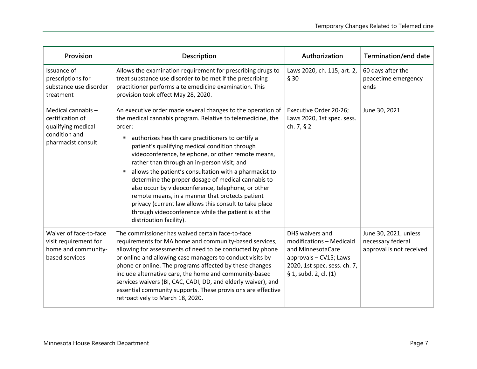| Provision                                                                                          | <b>Description</b>                                                                                                                                                                                                                                                                                                                                                                                                                                                                                                                                                                                                                                                                                                         | Authorization                                                                                                                                       | <b>Termination/end date</b>                                            |
|----------------------------------------------------------------------------------------------------|----------------------------------------------------------------------------------------------------------------------------------------------------------------------------------------------------------------------------------------------------------------------------------------------------------------------------------------------------------------------------------------------------------------------------------------------------------------------------------------------------------------------------------------------------------------------------------------------------------------------------------------------------------------------------------------------------------------------------|-----------------------------------------------------------------------------------------------------------------------------------------------------|------------------------------------------------------------------------|
| Issuance of<br>prescriptions for<br>substance use disorder<br>treatment                            | Allows the examination requirement for prescribing drugs to<br>treat substance use disorder to be met if the prescribing<br>practitioner performs a telemedicine examination. This<br>provision took effect May 28, 2020.                                                                                                                                                                                                                                                                                                                                                                                                                                                                                                  | Laws 2020, ch. 115, art. 2,<br>§ 30                                                                                                                 | 60 days after the<br>peacetime emergency<br>ends                       |
| Medical cannabis-<br>certification of<br>qualifying medical<br>condition and<br>pharmacist consult | An executive order made several changes to the operation of<br>the medical cannabis program. Relative to telemedicine, the<br>order:<br>authorizes health care practitioners to certify a<br>п<br>patient's qualifying medical condition through<br>videoconference, telephone, or other remote means,<br>rather than through an in-person visit; and<br>allows the patient's consultation with a pharmacist to<br>determine the proper dosage of medical cannabis to<br>also occur by videoconference, telephone, or other<br>remote means, in a manner that protects patient<br>privacy (current law allows this consult to take place<br>through videoconference while the patient is at the<br>distribution facility). | Executive Order 20-26;<br>Laws 2020, 1st spec. sess.<br>ch. 7, § 2                                                                                  | June 30, 2021                                                          |
| Waiver of face-to-face<br>visit requirement for<br>home and community-<br>based services           | The commissioner has waived certain face-to-face<br>requirements for MA home and community-based services,<br>allowing for assessments of need to be conducted by phone<br>or online and allowing case managers to conduct visits by<br>phone or online. The programs affected by these changes<br>include alternative care, the home and community-based<br>services waivers (BI, CAC, CADI, DD, and elderly waiver), and<br>essential community supports. These provisions are effective<br>retroactively to March 18, 2020.                                                                                                                                                                                             | DHS waivers and<br>modifications - Medicaid<br>and MinnesotaCare<br>approvals - CV15; Laws<br>2020, 1st spec. sess. ch. 7,<br>§ 1, subd. 2, cl. (1) | June 30, 2021, unless<br>necessary federal<br>approval is not received |